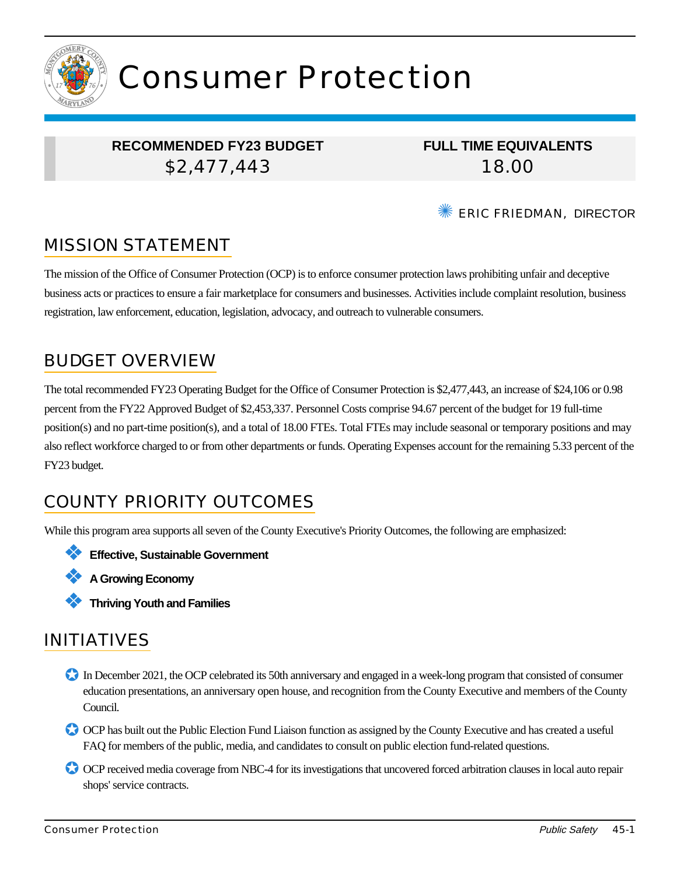

# Consumer Protection

#### **RECOMMENDED FY23 BUDGET** \$2,477,443

**FULL TIME EQUIVALENTS** 18.00

**WERIC FRIEDMAN, DIRECTOR** 

# MISSION STATEMENT

The mission of the Office of Consumer Protection (OCP) is to enforce consumer protection laws prohibiting unfair and deceptive business acts or practices to ensure a fair marketplace for consumers and businesses. Activities include complaint resolution, business registration, law enforcement, education, legislation, advocacy, and outreach to vulnerable consumers.

## BUDGET OVERVIEW

The total recommended FY23 Operating Budget for the Office of Consumer Protection is \$2,477,443, an increase of \$24,106 or 0.98 percent from the FY22 Approved Budget of \$2,453,337. Personnel Costs comprise 94.67 percent of the budget for 19 full-time position(s) and no part-time position(s), and a total of 18.00 FTEs. Total FTEs may include seasonal or temporary positions and may also reflect workforce charged to or from other departments or funds. Operating Expenses account for the remaining 5.33 percent of the FY23 budget.

# COUNTY PRIORITY OUTCOMES

While this program area supports all seven of the County Executive's Priority Outcomes, the following are emphasized:

- ❖ **Effective, Sustainable Government**
	- ❖ **A Growing Economy**
	- ❖ **Thriving Youth and Families**

### INITIATIVES

- In December 2021, the OCP celebrated its 50th anniversary and engaged in a week-long program that consisted of consumer education presentations, an anniversary open house, and recognition from the County Executive and members of the County Council.
- ✪ OCP has built out the Public Election Fund Liaison function as assigned by the County Executive and has created a useful FAQ for members of the public, media, and candidates to consult on public election fund-related questions.
- ✪ OCP received media coverage from NBC-4 for its investigations that uncovered forced arbitration clauses in local auto repair shops' service contracts.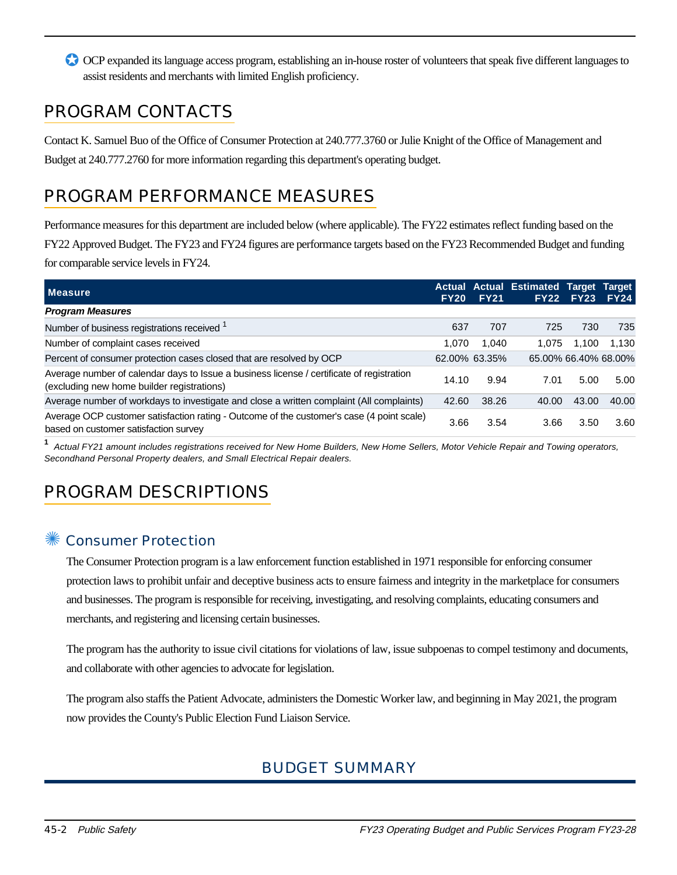✪ OCP expanded its language access program, establishing an in-house roster of volunteers that speak five different languages to assist residents and merchants with limited English proficiency.

#### PROGRAM CONTACTS

Contact K. Samuel Buo of the Office of Consumer Protection at 240.777.3760 or Julie Knight of the Office of Management and Budget at 240.777.2760 for more information regarding this department's operating budget.

## PROGRAM PERFORMANCE MEASURES

Performance measures for this department are included below (where applicable). The FY22 estimates reflect funding based on the FY22 Approved Budget. The FY23 and FY24 figures are performance targets based on the FY23 Recommended Budget and funding for comparable service levels in FY24.

| <b>Measure</b>                                                                                                                          | <b>FY20</b> | <b>FY21</b>   | Actual Actual Estimated Target Target<br>FY22 | <b>FY23</b>          | FY24  |
|-----------------------------------------------------------------------------------------------------------------------------------------|-------------|---------------|-----------------------------------------------|----------------------|-------|
| <b>Program Measures</b>                                                                                                                 |             |               |                                               |                      |       |
| Number of business registrations received <sup>1</sup>                                                                                  | 637         | 707           | 725                                           | 730                  | 735   |
| Number of complaint cases received                                                                                                      | 1.070       | 1.040         | 1.075                                         | 1.100                | 1.130 |
| Percent of consumer protection cases closed that are resolved by OCP                                                                    |             | 62.00% 63.35% |                                               | 65.00% 66.40% 68.00% |       |
| Average number of calendar days to Issue a business license / certificate of registration<br>(excluding new home builder registrations) | 14.10       | 9.94          | 7.01                                          | 5.00                 | 5.00  |
| Average number of workdays to investigate and close a written complaint (All complaints)                                                | 42.60       | 38.26         | 40.00                                         | 43.00                | 40.00 |
| Average OCP customer satisfaction rating - Outcome of the customer's case (4 point scale)<br>based on customer satisfaction survey      | 3.66        | 3.54          | 3.66                                          | 3.50                 | 3.60  |

**1** Actual FY21 amount includes registrations received for New Home Builders, New Home Sellers, Motor Vehicle Repair and Towing operators, Secondhand Personal Property dealers, and Small Electrical Repair dealers.

## PROGRAM DESCRIPTIONS

#### ✺ Consumer Protection

The Consumer Protection program is a law enforcement function established in 1971 responsible for enforcing consumer protection laws to prohibit unfair and deceptive business acts to ensure fairness and integrity in the marketplace for consumers and businesses. The program is responsible for receiving, investigating, and resolving complaints, educating consumers and merchants, and registering and licensing certain businesses.

The program has the authority to issue civil citations for violations of law, issue subpoenas to compel testimony and documents, and collaborate with other agencies to advocate for legislation.

The program also staffs the Patient Advocate, administers the Domestic Worker law, and beginning in May 2021, the program now provides the County's Public Election Fund Liaison Service.

#### BUDGET SUMMARY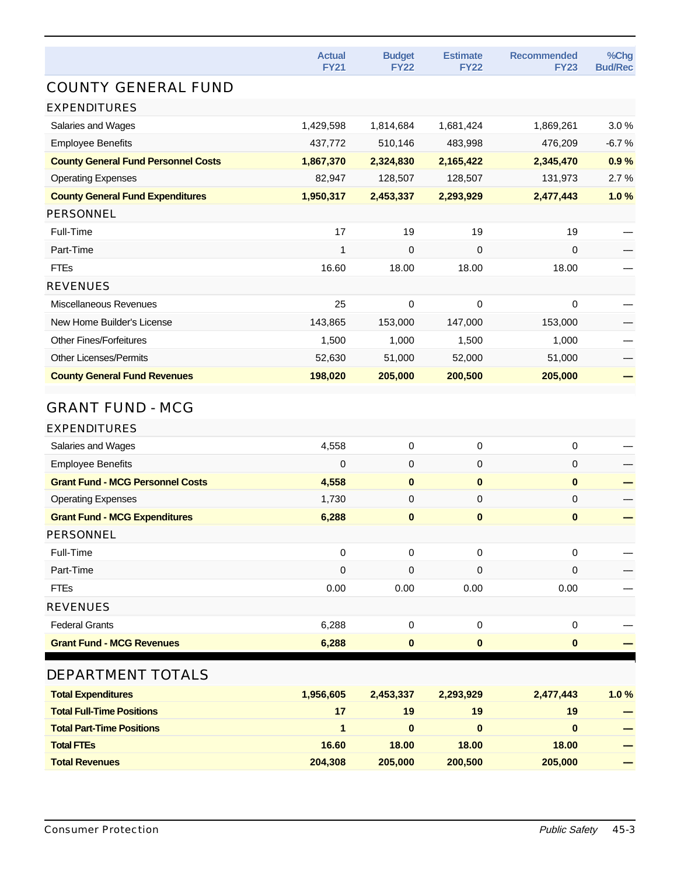|                                            | <b>Actual</b> |                              | <b>Estimate</b> | <b>Recommended</b> |                        |
|--------------------------------------------|---------------|------------------------------|-----------------|--------------------|------------------------|
|                                            | <b>FY21</b>   | <b>Budget</b><br><b>FY22</b> | <b>FY22</b>     | <b>FY23</b>        | %Chg<br><b>Bud/Rec</b> |
| <b>COUNTY GENERAL FUND</b>                 |               |                              |                 |                    |                        |
| <b>EXPENDITURES</b>                        |               |                              |                 |                    |                        |
| Salaries and Wages                         | 1,429,598     | 1,814,684                    | 1,681,424       | 1,869,261          | 3.0%                   |
| <b>Employee Benefits</b>                   | 437,772       | 510,146                      | 483,998         | 476,209            | $-6.7%$                |
| <b>County General Fund Personnel Costs</b> | 1,867,370     | 2,324,830                    | 2,165,422       | 2,345,470          | 0.9%                   |
| <b>Operating Expenses</b>                  | 82,947        | 128,507                      | 128,507         | 131,973            | 2.7%                   |
| <b>County General Fund Expenditures</b>    | 1,950,317     | 2,453,337                    | 2,293,929       | 2,477,443          | 1.0%                   |
| PERSONNEL                                  |               |                              |                 |                    |                        |
| Full-Time                                  | 17            | 19                           | 19              | 19                 |                        |
| Part-Time                                  | 1             | 0                            | 0               | 0                  |                        |
| <b>FTEs</b>                                | 16.60         | 18.00                        | 18.00           | 18.00              |                        |
| <b>REVENUES</b>                            |               |                              |                 |                    |                        |
| Miscellaneous Revenues                     | 25            | 0                            | $\mathbf 0$     | 0                  |                        |
| New Home Builder's License                 | 143,865       | 153,000                      | 147,000         | 153,000            |                        |
| <b>Other Fines/Forfeitures</b>             | 1,500         | 1,000                        | 1,500           | 1,000              |                        |
| <b>Other Licenses/Permits</b>              | 52,630        | 51,000                       | 52,000          | 51,000             |                        |
| <b>County General Fund Revenues</b>        | 198,020       | 205,000                      | 200,500         | 205,000            |                        |
|                                            |               |                              |                 |                    |                        |
| <b>GRANT FUND - MCG</b>                    |               |                              |                 |                    |                        |
| <b>EXPENDITURES</b>                        |               |                              |                 |                    |                        |
| Salaries and Wages                         | 4,558         | 0                            | $\pmb{0}$       | $\pmb{0}$          |                        |
| <b>Employee Benefits</b>                   | 0             | 0                            | $\mathbf 0$     | $\mathbf 0$        |                        |
| <b>Grant Fund - MCG Personnel Costs</b>    | 4,558         | 0                            | $\bf{0}$        | $\bf{0}$           |                        |
| <b>Operating Expenses</b>                  | 1,730         | 0                            | $\mathbf 0$     | $\mathbf 0$        |                        |
| <b>Grant Fund - MCG Expenditures</b>       | 6,288         | 0                            | $\pmb{0}$       | $\pmb{0}$          |                        |
| PERSONNEL                                  |               |                              |                 |                    |                        |
| Full-Time                                  | 0             | 0                            | $\mathbf 0$     | 0                  |                        |
| Part-Time                                  | $\mathbf 0$   | $\pmb{0}$                    | $\pmb{0}$       | $\mathbf 0$        |                        |
| <b>FTEs</b>                                | 0.00          | 0.00                         | 0.00            | 0.00               |                        |
| <b>REVENUES</b>                            |               |                              |                 |                    |                        |
| <b>Federal Grants</b>                      | 6,288         | 0                            | $\pmb{0}$       | $\mathbf 0$        |                        |
| <b>Grant Fund - MCG Revenues</b>           | 6,288         | $\pmb{0}$                    | $\bf{0}$        | $\pmb{0}$          |                        |
| <b>DEPARTMENT TOTALS</b>                   |               |                              |                 |                    |                        |
| <b>Total Expenditures</b>                  | 1,956,605     | 2,453,337                    | 2,293,929       | 2,477,443          | 1.0%                   |
| <b>Total Full-Time Positions</b>           | 17            | 19                           | 19              | 19                 |                        |
| <b>Total Part-Time Positions</b>           | $\mathbf{1}$  | $\bf{0}$                     | $\mathbf{0}$    | $\bf{0}$           |                        |
| <b>Total FTEs</b>                          | 16.60         | 18.00                        | 18.00           | 18.00              |                        |
| <b>Total Revenues</b>                      | 204,308       | 205,000                      | 200,500         | 205,000            |                        |